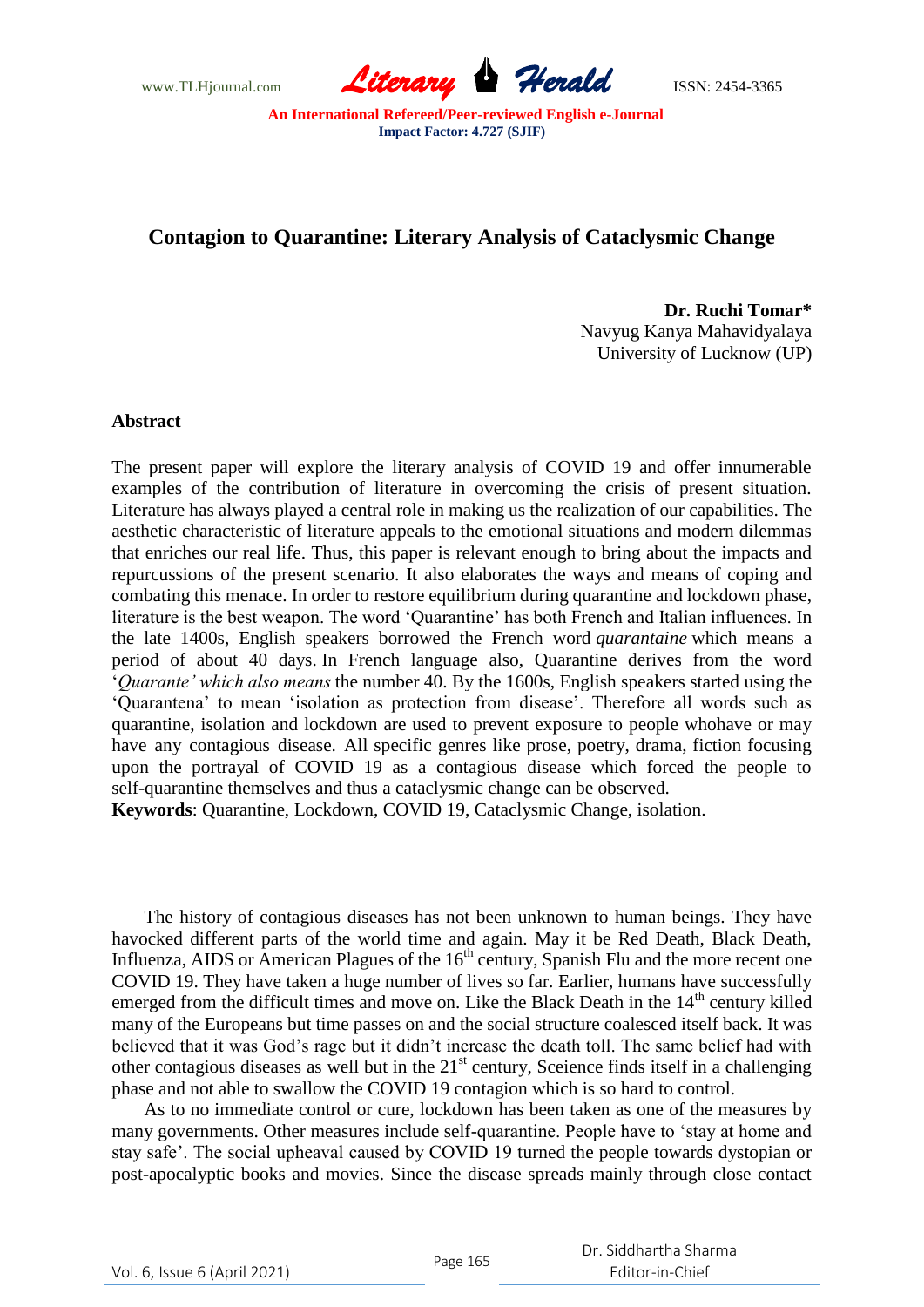www.TLHjournal.com *Literary Herald*ISSN: 2454-3365

# **Contagion to Quarantine: Literary Analysis of Cataclysmic Change**

**Dr. Ruchi Tomar\*** Navyug Kanya Mahavidyalaya University of Lucknow (UP)

### **Abstract**

The present paper will explore the literary analysis of COVID 19 and offer innumerable examples of the contribution of literature in overcoming the crisis of present situation. Literature has always played a central role in making us the realization of our capabilities. The aesthetic characteristic of literature appeals to the emotional situations and modern dilemmas that enriches our real life. Thus, this paper is relevant enough to bring about the impacts and repurcussions of the present scenario. It also elaborates the ways and means of coping and combating this menace. In order to restore equilibrium during quarantine and lockdown phase, literature is the best weapon. The word "Quarantine" has both French and Italian influences. In the late 1400s, English speakers borrowed the French word *quarantaine* which means a period of about 40 days. In French language also, Quarantine derives from the word "*Quarante' which also means* the number 40. By the 1600s, English speakers started using the "Quarantena" to mean "isolation as protection from disease". Therefore all words such as quarantine, isolation and lockdown are used to prevent exposure to people whohave or may have any contagious disease. All specific genres like prose, poetry, drama, fiction focusing upon the portrayal of COVID 19 as a contagious disease which forced the people to self-quarantine themselves and thus a cataclysmic change can be observed.

**Keywords**: Quarantine, Lockdown, COVID 19, Cataclysmic Change, isolation.

The history of contagious diseases has not been unknown to human beings. They have havocked different parts of the world time and again. May it be Red Death, Black Death, Influenza, AIDS or American Plagues of the  $16<sup>th</sup>$  century, Spanish Flu and the more recent one COVID 19. They have taken a huge number of lives so far. Earlier, humans have successfully emerged from the difficult times and move on. Like the Black Death in the 14<sup>th</sup> century killed many of the Europeans but time passes on and the social structure coalesced itself back. It was believed that it was God"s rage but it didn"t increase the death toll. The same belief had with other contagious diseases as well but in the  $21<sup>st</sup>$  century, Sceience finds itself in a challenging phase and not able to swallow the COVID 19 contagion which is so hard to control.

As to no immediate control or cure, lockdown has been taken as one of the measures by many governments. Other measures include self-quarantine. People have to "stay at home and stay safe". The social upheaval caused by COVID 19 turned the people towards dystopian or post-apocalyptic books and movies. Since the disease spreads mainly through close contact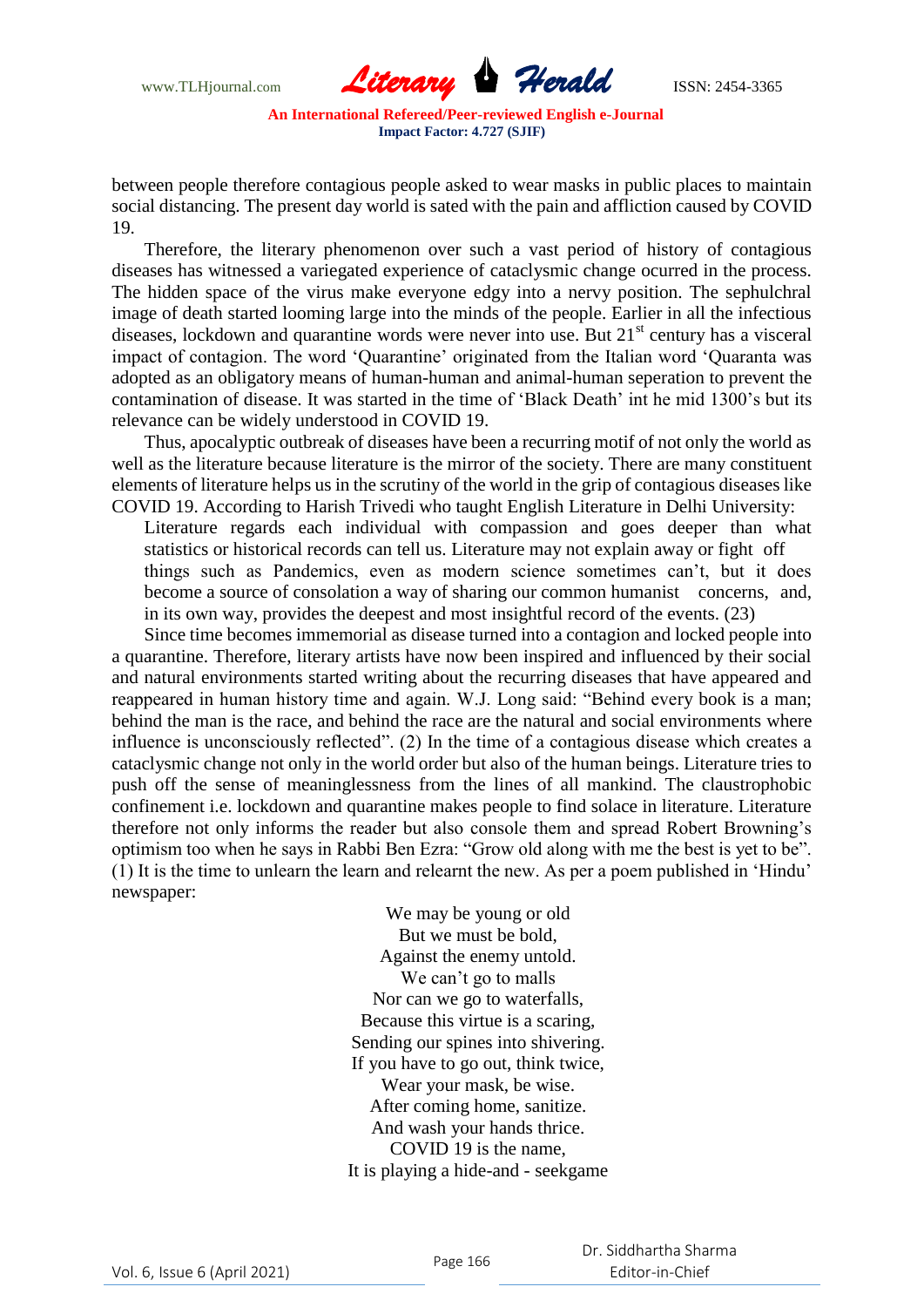

between people therefore contagious people asked to wear masks in public places to maintain social distancing. The present day world is sated with the pain and affliction caused by COVID 19.

Therefore, the literary phenomenon over such a vast period of history of contagious diseases has witnessed a variegated experience of cataclysmic change ocurred in the process. The hidden space of the virus make everyone edgy into a nervy position. The sephulchral image of death started looming large into the minds of the people. Earlier in all the infectious diseases, lockdown and quarantine words were never into use. But 21<sup>st</sup> century has a visceral impact of contagion. The word "Quarantine" originated from the Italian word "Quaranta was adopted as an obligatory means of human-human and animal-human seperation to prevent the contamination of disease. It was started in the time of "Black Death" int he mid 1300"s but its relevance can be widely understood in COVID 19.

Thus, apocalyptic outbreak of diseases have been a recurring motif of not only the world as well as the literature because literature is the mirror of the society. There are many constituent elements of literature helps us in the scrutiny of the world in the grip of contagious diseases like COVID 19. According to Harish Trivedi who taught English Literature in Delhi University:

Literature regards each individual with compassion and goes deeper than what statistics or historical records can tell us. Literature may not explain away or fight off things such as Pandemics, even as modern science sometimes can"t, but it does become a source of consolation a way of sharing our common humanist concerns, and, in its own way, provides the deepest and most insightful record of the events. (23)

Since time becomes immemorial as disease turned into a contagion and locked people into a quarantine. Therefore, literary artists have now been inspired and influenced by their social and natural environments started writing about the recurring diseases that have appeared and reappeared in human history time and again. W.J. Long said: "Behind every book is a man; behind the man is the race, and behind the race are the natural and social environments where influence is unconsciously reflected". (2) In the time of a contagious disease which creates a cataclysmic change not only in the world order but also of the human beings. Literature tries to push off the sense of meaninglessness from the lines of all mankind. The claustrophobic confinement i.e. lockdown and quarantine makes people to find solace in literature. Literature therefore not only informs the reader but also console them and spread Robert Browning"s optimism too when he says in Rabbi Ben Ezra: "Grow old along with me the best is yet to be". (1) It is the time to unlearn the learn and relearnt the new. As per a poem published in "Hindu" newspaper:

> We may be young or old But we must be bold, Against the enemy untold. We can't go to malls Nor can we go to waterfalls, Because this virtue is a scaring, Sending our spines into shivering. If you have to go out, think twice, Wear your mask, be wise. After coming home, sanitize. And wash your hands thrice. COVID 19 is the name, It is playing a hide-and - seekgame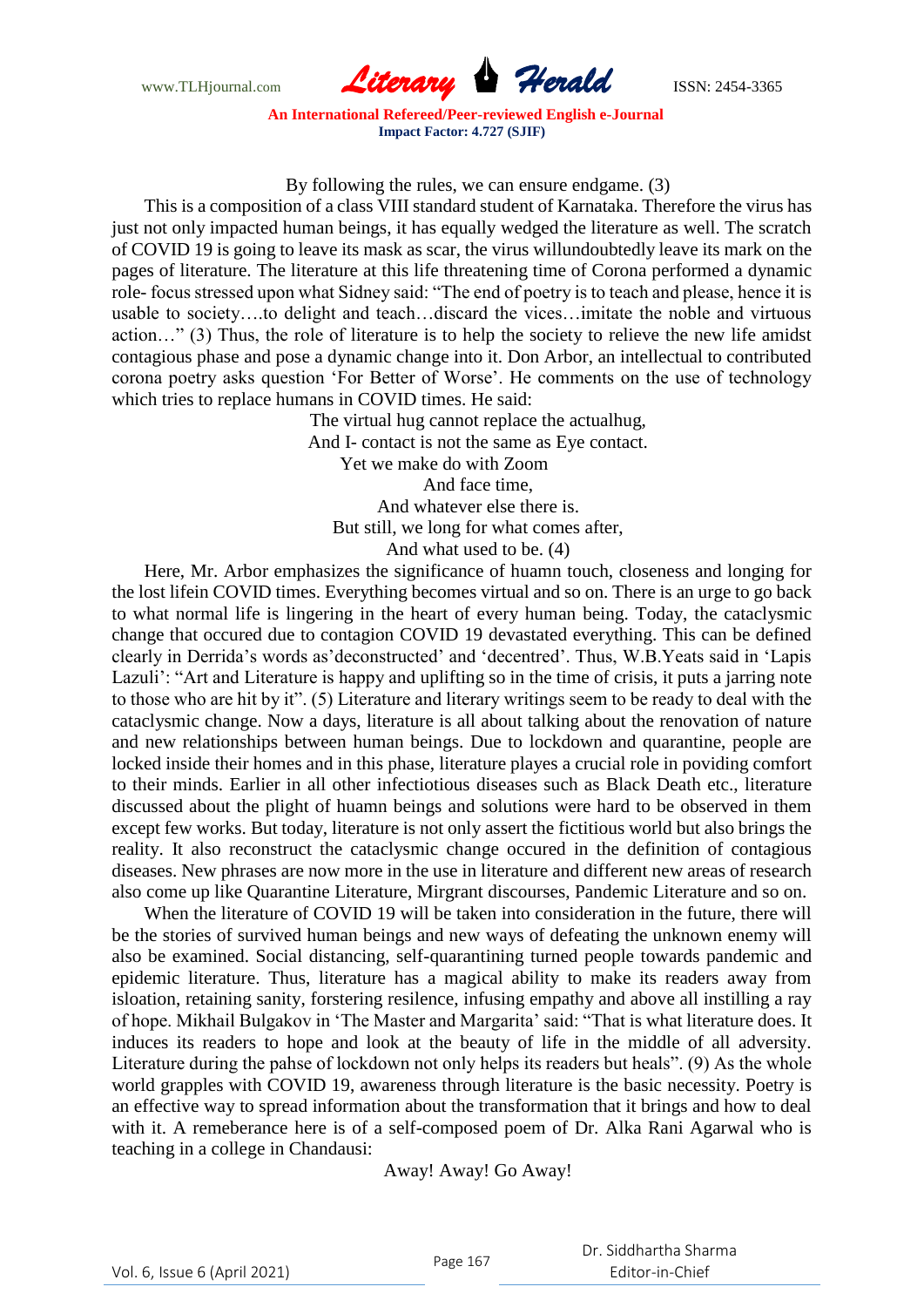

## By following the rules, we can ensure endgame. (3)

This is a composition of a class VIII standard student of Karnataka. Therefore the virus has just not only impacted human beings, it has equally wedged the literature as well. The scratch of COVID 19 is going to leave its mask as scar, the virus willundoubtedly leave its mark on the pages of literature. The literature at this life threatening time of Corona performed a dynamic role- focus stressed upon what Sidney said: "The end of poetry is to teach and please, hence it is usable to society….to delight and teach…discard the vices…imitate the noble and virtuous action…" (3) Thus, the role of literature is to help the society to relieve the new life amidst contagious phase and pose a dynamic change into it. Don Arbor, an intellectual to contributed corona poetry asks question "For Better of Worse". He comments on the use of technology which tries to replace humans in COVID times. He said:

> The virtual hug cannot replace the actualhug, And I- contact is not the same as Eye contact. Yet we make do with Zoom And face time, And whatever else there is. But still, we long for what comes after, And what used to be. (4)

Here, Mr. Arbor emphasizes the significance of huamn touch, closeness and longing for the lost lifein COVID times. Everything becomes virtual and so on. There is an urge to go back to what normal life is lingering in the heart of every human being. Today, the cataclysmic change that occured due to contagion COVID 19 devastated everything. This can be defined clearly in Derrida"s words as"deconstructed" and "decentred". Thus, W.B.Yeats said in "Lapis Lazuli': "Art and Literature is happy and uplifting so in the time of crisis, it puts a jarring note to those who are hit by it". (5) Literature and literary writings seem to be ready to deal with the cataclysmic change. Now a days, literature is all about talking about the renovation of nature and new relationships between human beings. Due to lockdown and quarantine, people are locked inside their homes and in this phase, literature playes a crucial role in poviding comfort to their minds. Earlier in all other infectiotious diseases such as Black Death etc., literature discussed about the plight of huamn beings and solutions were hard to be observed in them except few works. But today, literature is not only assert the fictitious world but also brings the reality. It also reconstruct the cataclysmic change occured in the definition of contagious diseases. New phrases are now more in the use in literature and different new areas of research also come up like Quarantine Literature, Mirgrant discourses, Pandemic Literature and so on.

When the literature of COVID 19 will be taken into consideration in the future, there will be the stories of survived human beings and new ways of defeating the unknown enemy will also be examined. Social distancing, self-quarantining turned people towards pandemic and epidemic literature. Thus, literature has a magical ability to make its readers away from isloation, retaining sanity, forstering resilence, infusing empathy and above all instilling a ray of hope. Mikhail Bulgakov in "The Master and Margarita" said: "That is what literature does. It induces its readers to hope and look at the beauty of life in the middle of all adversity. Literature during the pahse of lockdown not only helps its readers but heals". (9) As the whole world grapples with COVID 19, awareness through literature is the basic necessity. Poetry is an effective way to spread information about the transformation that it brings and how to deal with it. A remeberance here is of a self-composed poem of Dr. Alka Rani Agarwal who is teaching in a college in Chandausi:

Away! Away! Go Away!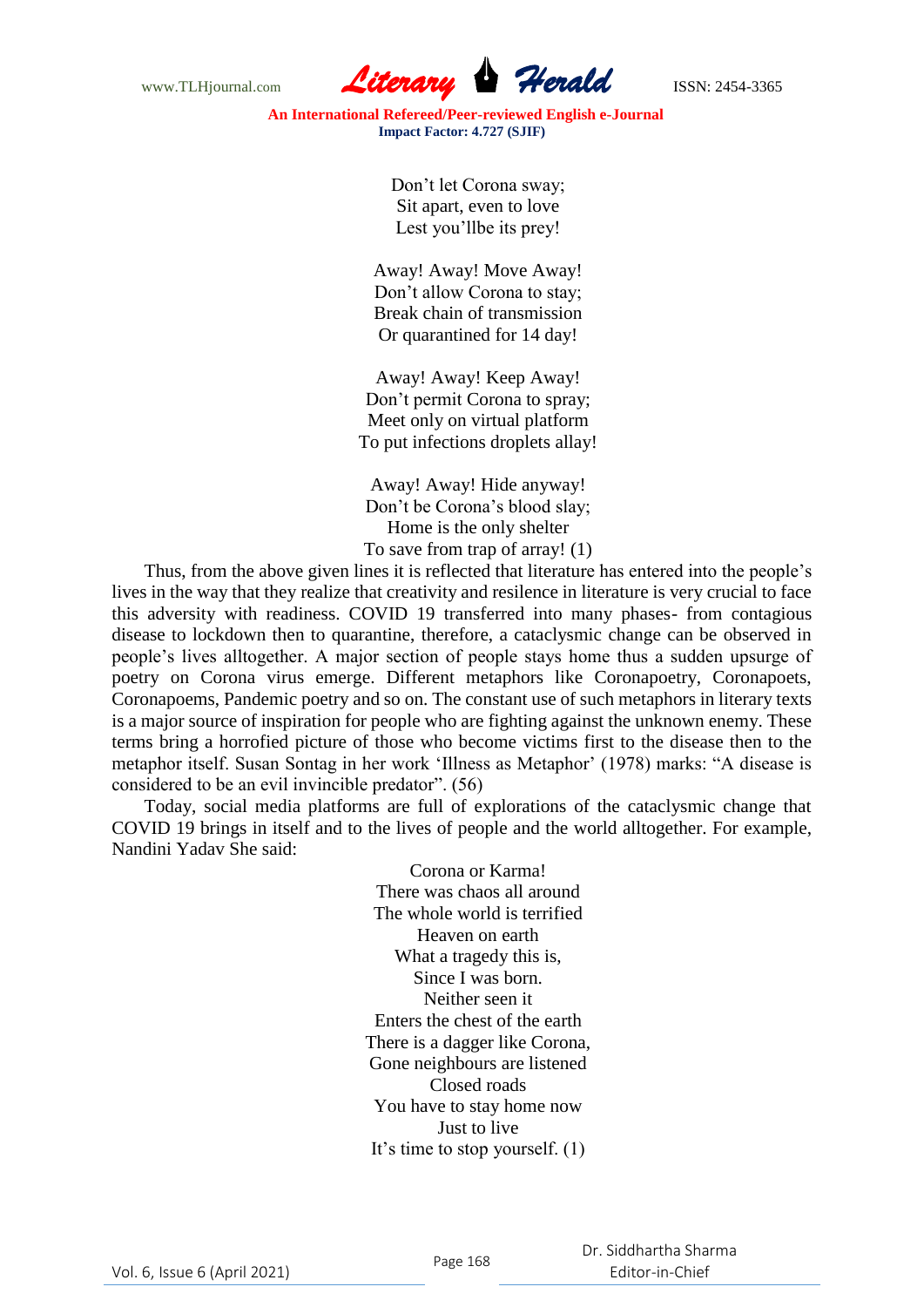

> Don"t let Corona sway; Sit apart, even to love Lest you"llbe its prey!

Away! Away! Move Away! Don"t allow Corona to stay; Break chain of transmission Or quarantined for 14 day!

Away! Away! Keep Away! Don"t permit Corona to spray; Meet only on virtual platform To put infections droplets allay!

Away! Away! Hide anyway! Don"t be Corona"s blood slay; Home is the only shelter To save from trap of array! (1)

Thus, from the above given lines it is reflected that literature has entered into the people"s lives in the way that they realize that creativity and resilence in literature is very crucial to face this adversity with readiness. COVID 19 transferred into many phases- from contagious disease to lockdown then to quarantine, therefore, a cataclysmic change can be observed in people"s lives alltogether. A major section of people stays home thus a sudden upsurge of poetry on Corona virus emerge. Different metaphors like Coronapoetry, Coronapoets, Coronapoems, Pandemic poetry and so on. The constant use of such metaphors in literary texts is a major source of inspiration for people who are fighting against the unknown enemy. These terms bring a horrofied picture of those who become victims first to the disease then to the metaphor itself. Susan Sontag in her work "Illness as Metaphor" (1978) marks: "A disease is considered to be an evil invincible predator". (56)

Today, social media platforms are full of explorations of the cataclysmic change that COVID 19 brings in itself and to the lives of people and the world alltogether. For example, Nandini Yadav She said:

> Corona or Karma! There was chaos all around The whole world is terrified Heaven on earth What a tragedy this is, Since I was born. Neither seen it Enters the chest of the earth There is a dagger like Corona, Gone neighbours are listened Closed roads You have to stay home now Just to live It"s time to stop yourself. (1)

Vol. 6, Issue 6 (April 2021) Page 168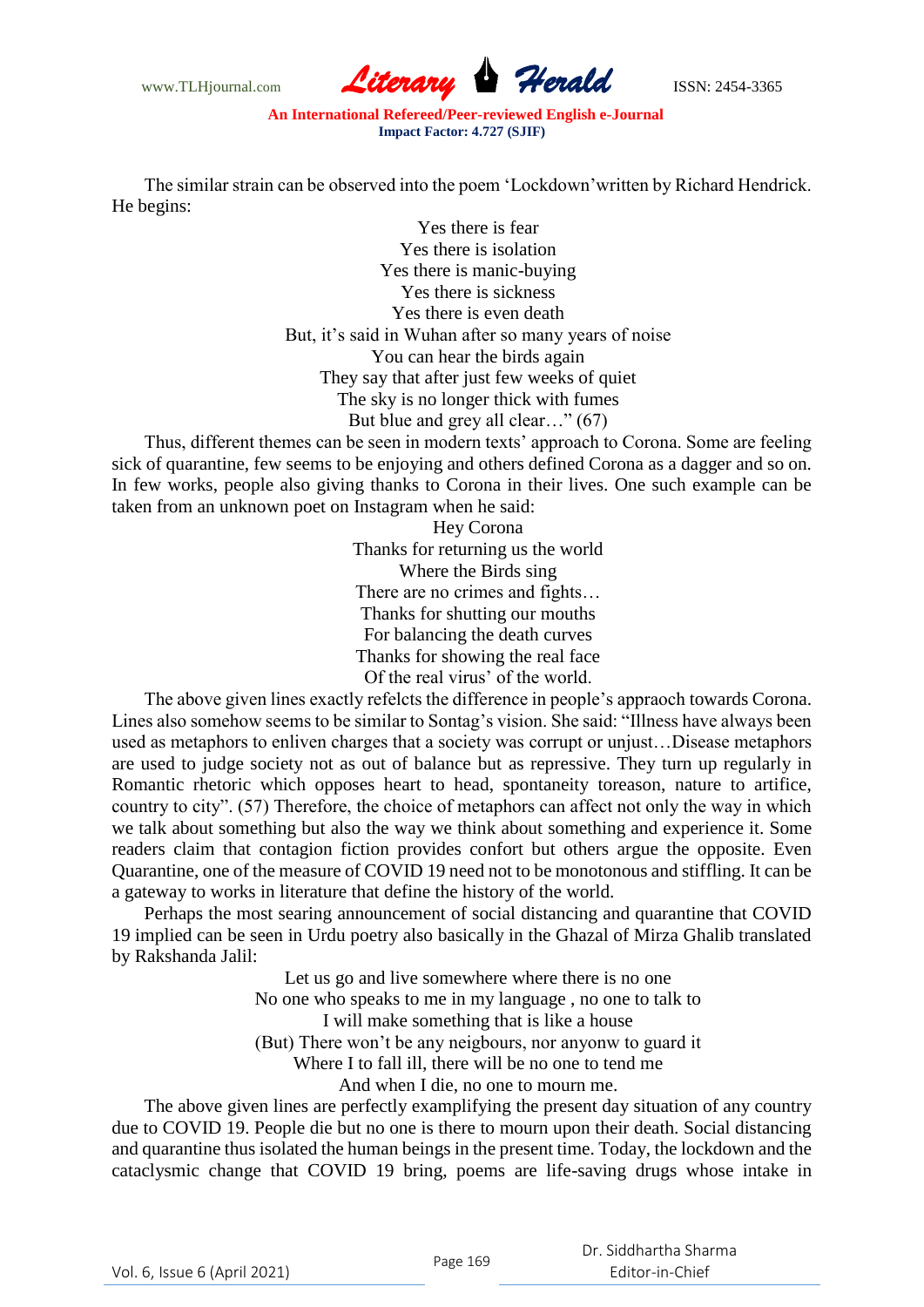

The similar strain can be observed into the poem "Lockdown"written by Richard Hendrick. He begins:

> Yes there is fear Yes there is isolation Yes there is manic-buying Yes there is sickness Yes there is even death But, it's said in Wuhan after so many years of noise You can hear the birds again They say that after just few weeks of quiet The sky is no longer thick with fumes But blue and grey all clear…" (67)

Thus, different themes can be seen in modern texts" approach to Corona. Some are feeling sick of quarantine, few seems to be enjoying and others defined Corona as a dagger and so on. In few works, people also giving thanks to Corona in their lives. One such example can be taken from an unknown poet on Instagram when he said:

> Hey Corona Thanks for returning us the world Where the Birds sing There are no crimes and fights… Thanks for shutting our mouths For balancing the death curves Thanks for showing the real face Of the real virus' of the world.

The above given lines exactly refelcts the difference in people"s appraoch towards Corona. Lines also somehow seems to be similar to Sontag's vision. She said: "Illness have always been used as metaphors to enliven charges that a society was corrupt or unjust…Disease metaphors are used to judge society not as out of balance but as repressive. They turn up regularly in Romantic rhetoric which opposes heart to head, spontaneity toreason, nature to artifice, country to city". (57) Therefore, the choice of metaphors can affect not only the way in which we talk about something but also the way we think about something and experience it. Some readers claim that contagion fiction provides confort but others argue the opposite. Even Quarantine, one of the measure of COVID 19 need not to be monotonous and stiffling. It can be a gateway to works in literature that define the history of the world.

Perhaps the most searing announcement of social distancing and quarantine that COVID 19 implied can be seen in Urdu poetry also basically in the Ghazal of Mirza Ghalib translated by Rakshanda Jalil:

Let us go and live somewhere where there is no one

No one who speaks to me in my language , no one to talk to

I will make something that is like a house

(But) There won"t be any neigbours, nor anyonw to guard it

Where I to fall ill, there will be no one to tend me

And when I die, no one to mourn me.

The above given lines are perfectly examplifying the present day situation of any country due to COVID 19. People die but no one is there to mourn upon their death. Social distancing and quarantine thus isolated the human beings in the present time. Today, the lockdown and the cataclysmic change that COVID 19 bring, poems are life-saving drugs whose intake in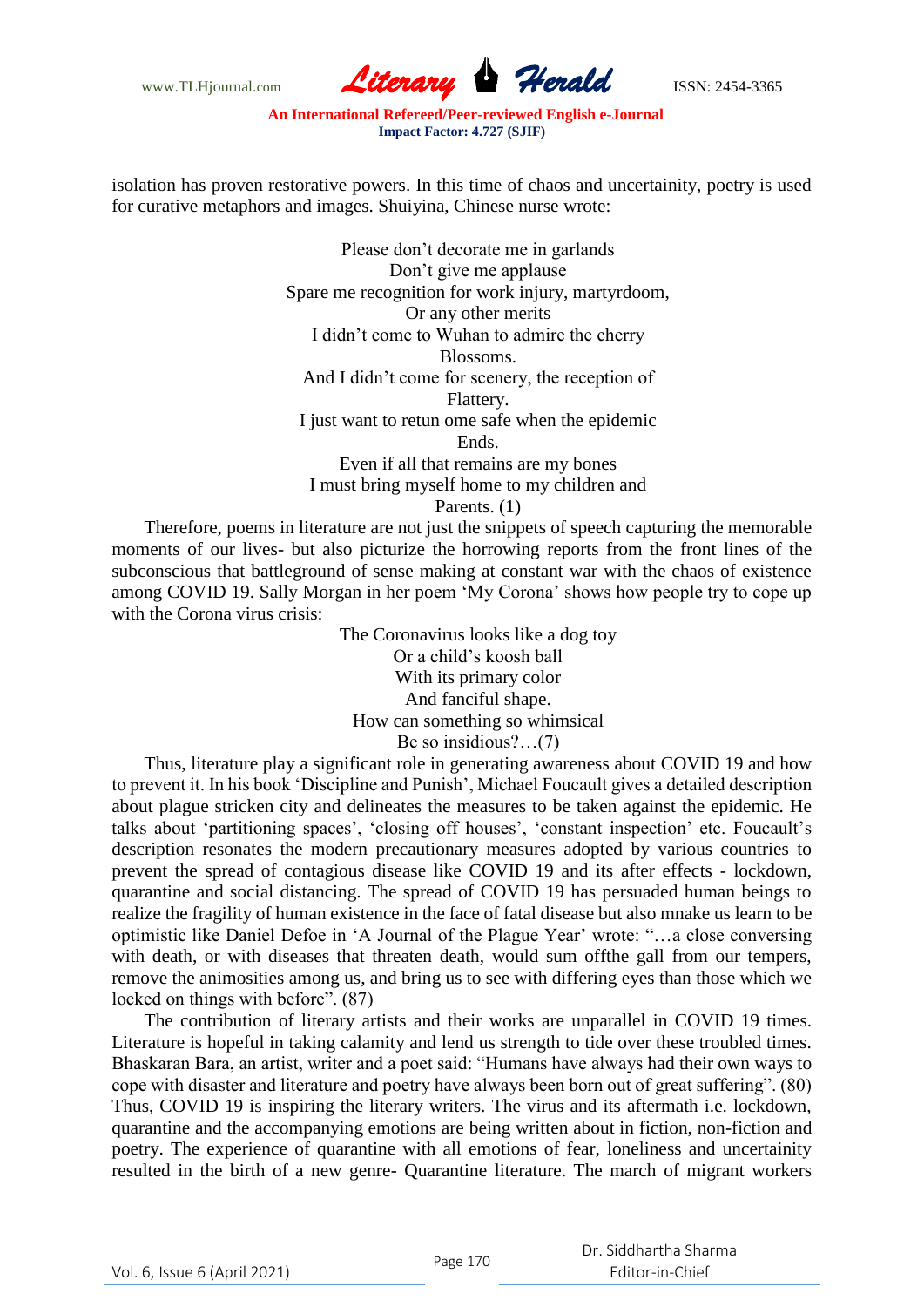

isolation has proven restorative powers. In this time of chaos and uncertainity, poetry is used for curative metaphors and images. Shuiyina, Chinese nurse wrote:

> Please don"t decorate me in garlands Don"t give me applause Spare me recognition for work injury, martyrdoom, Or any other merits I didn"t come to Wuhan to admire the cherry Blossoms. And I didn"t come for scenery, the reception of Flattery. I just want to retun ome safe when the epidemic Ends. Even if all that remains are my bones I must bring myself home to my children and Parents. (1)

Therefore, poems in literature are not just the snippets of speech capturing the memorable moments of our lives- but also picturize the horrowing reports from the front lines of the subconscious that battleground of sense making at constant war with the chaos of existence among COVID 19. Sally Morgan in her poem "My Corona" shows how people try to cope up with the Corona virus crisis:

> The Coronavirus looks like a dog toy Or a child"s koosh ball With its primary color And fanciful shape. How can something so whimsical Be so insidious?…(7)

Thus, literature play a significant role in generating awareness about COVID 19 and how to prevent it. In his book "Discipline and Punish", Michael Foucault gives a detailed description about plague stricken city and delineates the measures to be taken against the epidemic. He talks about 'partitioning spaces', 'closing off houses', 'constant inspection' etc. Foucault's description resonates the modern precautionary measures adopted by various countries to prevent the spread of contagious disease like COVID 19 and its after effects - lockdown, quarantine and social distancing. The spread of COVID 19 has persuaded human beings to realize the fragility of human existence in the face of fatal disease but also mnake us learn to be optimistic like Daniel Defoe in "A Journal of the Plague Year" wrote: "…a close conversing with death, or with diseases that threaten death, would sum offthe gall from our tempers, remove the animosities among us, and bring us to see with differing eyes than those which we locked on things with before".  $(87)$ 

The contribution of literary artists and their works are unparallel in COVID 19 times. Literature is hopeful in taking calamity and lend us strength to tide over these troubled times. Bhaskaran Bara, an artist, writer and a poet said: "Humans have always had their own ways to cope with disaster and literature and poetry have always been born out of great suffering". (80) Thus, COVID 19 is inspiring the literary writers. The virus and its aftermath i.e. lockdown, quarantine and the accompanying emotions are being written about in fiction, non-fiction and poetry. The experience of quarantine with all emotions of fear, loneliness and uncertainity resulted in the birth of a new genre- Quarantine literature. The march of migrant workers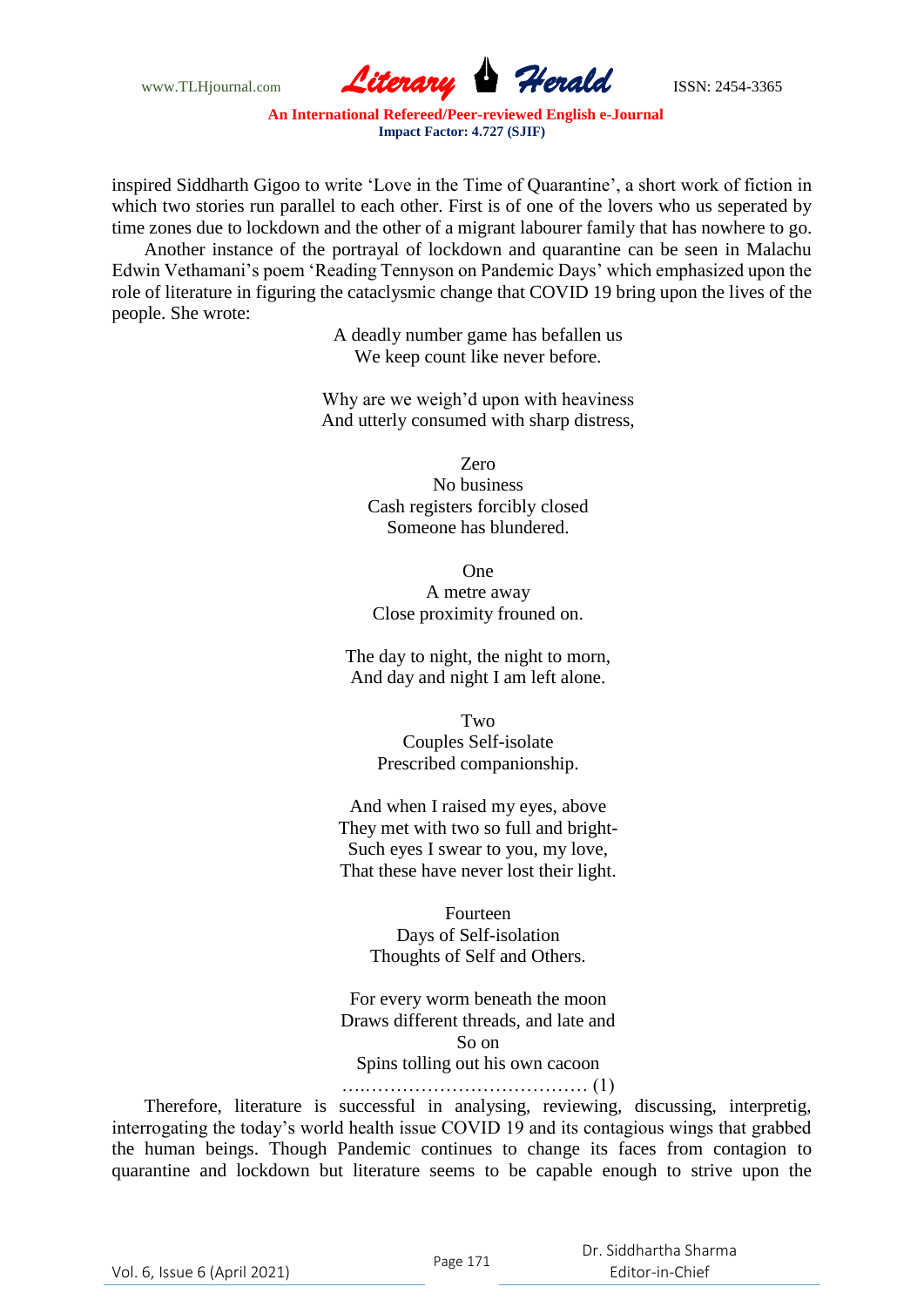

inspired Siddharth Gigoo to write "Love in the Time of Quarantine", a short work of fiction in which two stories run parallel to each other. First is of one of the lovers who us seperated by time zones due to lockdown and the other of a migrant labourer family that has nowhere to go.

Another instance of the portrayal of lockdown and quarantine can be seen in Malachu Edwin Vethamani"s poem "Reading Tennyson on Pandemic Days" which emphasized upon the role of literature in figuring the cataclysmic change that COVID 19 bring upon the lives of the people. She wrote:

> A deadly number game has befallen us We keep count like never before.

Why are we weigh'd upon with heaviness And utterly consumed with sharp distress,

> Zero No business Cash registers forcibly closed Someone has blundered.

One A metre away Close proximity frouned on.

The day to night, the night to morn, And day and night I am left alone.

> Two Couples Self-isolate Prescribed companionship.

And when I raised my eyes, above They met with two so full and bright-Such eyes I swear to you, my love, That these have never lost their light.

> Fourteen Days of Self-isolation Thoughts of Self and Others.

For every worm beneath the moon Draws different threads, and late and So on Spins tolling out his own cacoon

#### ….……………………………… (1)

Therefore, literature is successful in analysing, reviewing, discussing, interpretig, interrogating the today"s world health issue COVID 19 and its contagious wings that grabbed the human beings. Though Pandemic continues to change its faces from contagion to quarantine and lockdown but literature seems to be capable enough to strive upon the